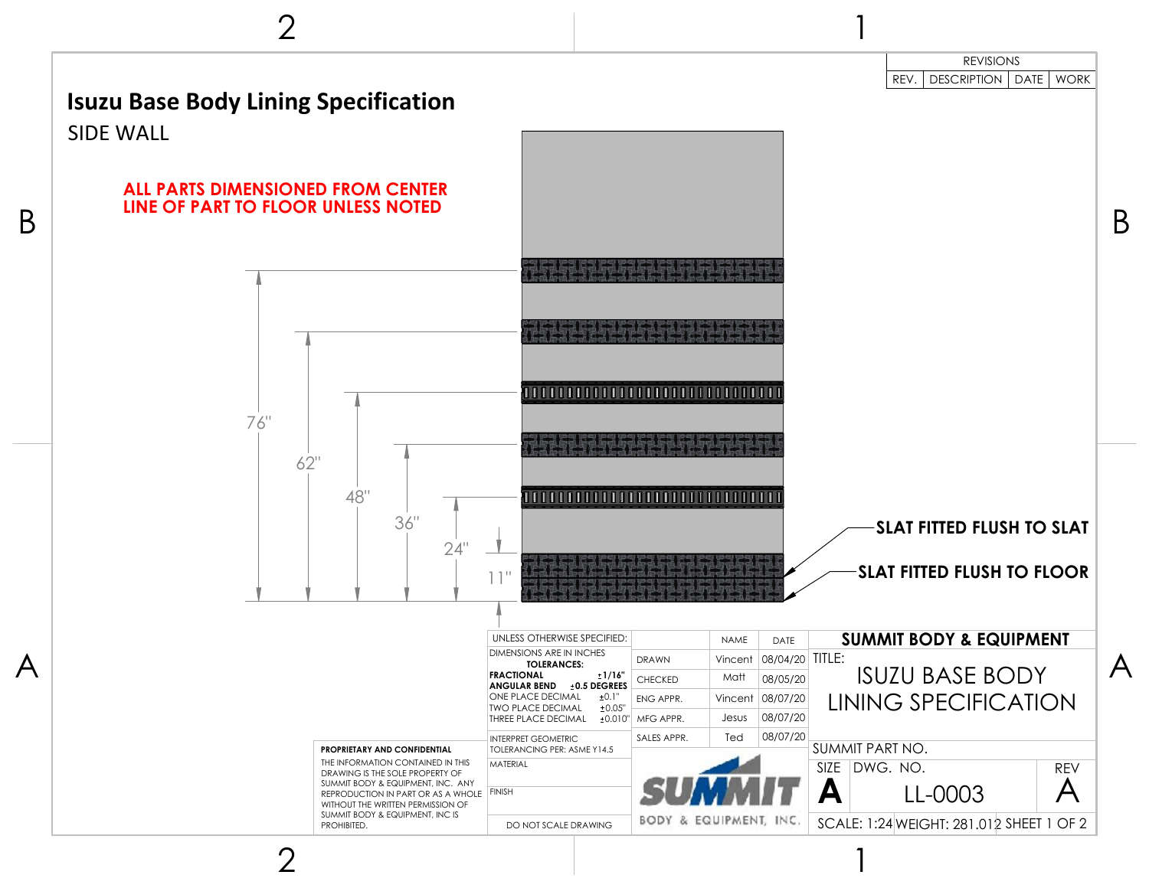